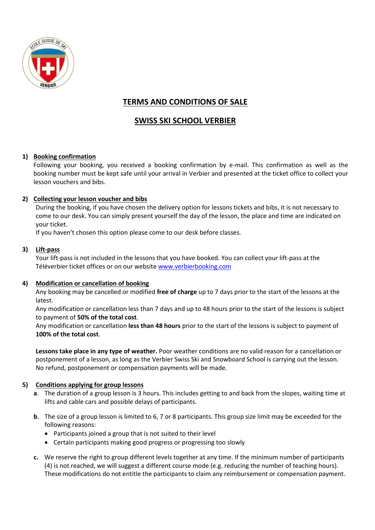

# **TERMS AND CONDITIONS OF SALE**

## **SWISS SKI SCHOOL VERBIER**

## **1) Booking confirmation**

Following your booking, you received a booking confirmation by e-mail. This confirmation as well as the booking number must be kept safe until your arrival in Verbier and presented at the ticket office to collect your lesson vouchers and bibs.

### **2) Collecting your lesson voucher and bibs**

During the booking, if you have chosen the delivery option for lessons tickets and bibs, it is not necessary to come to our desk. You can simply present yourself the day of the lesson, the place and time are indicated on your ticket.

If you haven't chosen this option please come to our desk before classes.

### **3) Lift-pass**

Your lift-pass is not included in the lessons that you have booked. You can collect your lift-pass at the Téléverbier ticket offices or on our website [www.verbierbooking.com](http://www.verbierbooking.com/)

### **4) Modification or cancellation of booking**

Any booking may be cancelled or modified **free of charge** up to 7 days prior to the start of the lessons at the latest.

Any modification or cancellation less than 7 days and up to 48 hours prior to the start of the lessons is subject to payment of **50% of the total cost**.

Any modification or cancellation **less than 48 hours** prior to the start of the lessons is subject to payment of **100% of the total cost**.

**Lessons take place in any type of weather.** Poor weather conditions are no valid reason for a cancellation or postponement of a lesson, as long as the Verbier Swiss Ski and Snowboard School is carrying out the lesson. No refund, postponement or compensation payments will be made.

### **5) Conditions applying for group lessons**

- **a**. The duration of a group lesson is 3 hours. This includes getting to and back from the slopes, waiting time at lifts and cable cars and possible delays of participants.
- **b**. The size of a group lesson is limited to 6, 7 or 8 participants. This group size limit may be exceeded for the following reasons:
	- Participants joined a group that is not suited to their level
	- Certain participants making good progress or progressing too slowly
- **c.** We reserve the right to group different levels together at any time. If the minimum number of participants (4) is not reached, we will suggest a different course mode (e.g. reducing the number of teaching hours). These modifications do not entitle the participants to claim any reimbursement or compensation payment.